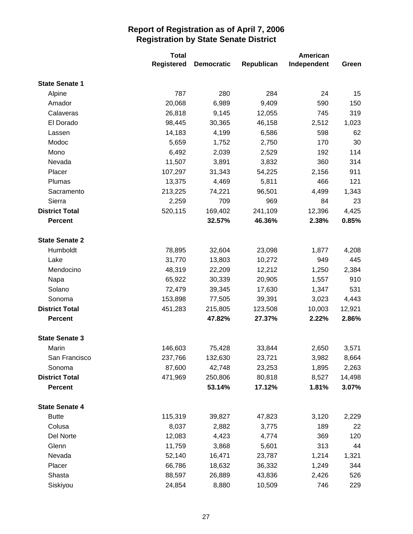|                       | <b>Total</b> |                   | <b>American</b> |             |        |
|-----------------------|--------------|-------------------|-----------------|-------------|--------|
|                       | Registered   | <b>Democratic</b> | Republican      | Independent | Green  |
| <b>State Senate 1</b> |              |                   |                 |             |        |
| Alpine                | 787          | 280               | 284             | 24          | 15     |
| Amador                | 20,068       | 6,989             | 9,409           | 590         | 150    |
| Calaveras             | 26,818       | 9,145             | 12,055          | 745         | 319    |
| El Dorado             | 98,445       | 30,365            | 46,158          | 2,512       | 1,023  |
| Lassen                | 14,183       | 4,199             | 6,586           | 598         | 62     |
| Modoc                 | 5,659        | 1,752             | 2,750           | 170         | 30     |
| Mono                  | 6,492        | 2,039             | 2,529           | 192         | 114    |
| Nevada                | 11,507       | 3,891             | 3,832           | 360         | 314    |
| Placer                | 107,297      | 31,343            | 54,225          | 2,156       | 911    |
| Plumas                | 13,375       | 4,469             | 5,811           | 466         | 121    |
| Sacramento            | 213,225      | 74,221            | 96,501          | 4,499       | 1,343  |
| Sierra                | 2,259        | 709               | 969             | 84          | 23     |
| <b>District Total</b> | 520,115      | 169,402           | 241,109         | 12,396      | 4,425  |
| <b>Percent</b>        |              | 32.57%            | 46.36%          | 2.38%       | 0.85%  |
|                       |              |                   |                 |             |        |
| <b>State Senate 2</b> |              |                   |                 |             |        |
| Humboldt              | 78,895       | 32,604            | 23,098          | 1,877       | 4,208  |
| Lake                  | 31,770       | 13,803            | 10,272          | 949         | 445    |
| Mendocino             | 48,319       | 22,209            | 12,212          | 1,250       | 2,384  |
| Napa                  | 65,922       | 30,339            | 20,905          | 1,557       | 910    |
| Solano                | 72,479       | 39,345            | 17,630          | 1,347       | 531    |
| Sonoma                | 153,898      | 77,505            | 39,391          | 3,023       | 4,443  |
| <b>District Total</b> | 451,283      | 215,805           | 123,508         | 10,003      | 12,921 |
| <b>Percent</b>        |              | 47.82%            | 27.37%          | 2.22%       | 2.86%  |
| <b>State Senate 3</b> |              |                   |                 |             |        |
| Marin                 | 146,603      | 75,428            | 33,844          | 2,650       | 3,571  |
| San Francisco         | 237,766      | 132,630           | 23,721          | 3,982       | 8,664  |
| Sonoma                | 87,600       | 42,748            | 23,253          | 1,895       | 2,263  |
| <b>District Total</b> | 471,969      | 250,806           | 80,818          | 8,527       | 14,498 |
| <b>Percent</b>        |              | 53.14%            | 17.12%          | 1.81%       | 3.07%  |
| <b>State Senate 4</b> |              |                   |                 |             |        |
| <b>Butte</b>          | 115,319      | 39,827            | 47,823          | 3,120       | 2,229  |
| Colusa                | 8,037        | 2,882             | 3,775           | 189         | 22     |
| Del Norte             | 12,083       | 4,423             | 4,774           | 369         | 120    |
| Glenn                 | 11,759       | 3,868             | 5,601           | 313         | 44     |
| Nevada                | 52,140       | 16,471            | 23,787          | 1,214       | 1,321  |
| Placer                | 66,786       | 18,632            | 36,332          | 1,249       | 344    |
| Shasta                | 88,597       | 26,889            | 43,836          | 2,426       | 526    |
| Siskiyou              | 24,854       | 8,880             | 10,509          | 746         | 229    |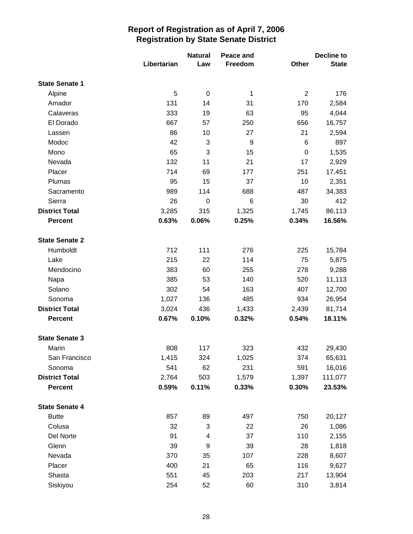|                       |             | <b>Natural</b> | Peace and |                | Decline to   |
|-----------------------|-------------|----------------|-----------|----------------|--------------|
|                       | Libertarian | Law            | Freedom   | Other          | <b>State</b> |
| <b>State Senate 1</b> |             |                |           |                |              |
| Alpine                | 5           | $\pmb{0}$      | 1         | $\overline{2}$ | 176          |
| Amador                | 131         | 14             | 31        | 170            | 2,584        |
| Calaveras             | 333         | 19             | 63        | 95             | 4,044        |
| El Dorado             | 667         | 57             | 250       | 656            | 16,757       |
| Lassen                | 86          | 10             | 27        | 21             | 2,594        |
| Modoc                 | 42          | 3              | 9         | 6              | 897          |
| Mono                  | 65          | 3              | 15        | 0              | 1,535        |
| Nevada                | 132         | 11             | 21        | 17             | 2,929        |
| Placer                | 714         | 69             | 177       | 251            | 17,451       |
| Plumas                | 95          | 15             | 37        | 10             | 2,351        |
| Sacramento            | 989         | 114            | 688       | 487            | 34,383       |
| Sierra                | 26          | $\mathbf 0$    | 6         | 30             | 412          |
| <b>District Total</b> | 3,285       | 315            | 1,325     | 1,745          | 86,113       |
| <b>Percent</b>        | 0.63%       | 0.06%          | 0.25%     | 0.34%          | 16.56%       |
| <b>State Senate 2</b> |             |                |           |                |              |
| Humboldt              | 712         | 111            | 276       | 225            | 15,784       |
| Lake                  | 215         | 22             | 114       | 75             | 5,875        |
| Mendocino             | 383         | 60             | 255       | 278            | 9,288        |
| Napa                  | 385         | 53             | 140       | 520            | 11,113       |
| Solano                | 302         | 54             | 163       | 407            | 12,700       |
| Sonoma                | 1,027       | 136            | 485       | 934            | 26,954       |
| <b>District Total</b> | 3,024       | 436            | 1,433     | 2,439          | 81,714       |
| <b>Percent</b>        | 0.67%       | 0.10%          | 0.32%     | 0.54%          | 18.11%       |
| <b>State Senate 3</b> |             |                |           |                |              |
| Marin                 | 808         | 117            | 323       | 432            | 29,430       |
| San Francisco         | 1,415       | 324            | 1,025     | 374            | 65,631       |
| Sonoma                | 541         | 62             | 231       | 591            | 16,016       |
| <b>District Total</b> | 2,764       | 503            | 1,579     | 1,397          | 111,077      |
| <b>Percent</b>        | 0.59%       | 0.11%          | 0.33%     | 0.30%          | 23.53%       |
| <b>State Senate 4</b> |             |                |           |                |              |
| <b>Butte</b>          | 857         | 89             | 497       | 750            | 20,127       |
| Colusa                | 32          | 3              | 22        | 26             | 1,086        |
| Del Norte             | 91          | 4              | 37        | 110            | 2,155        |
| Glenn                 | 39          | 9              | 39        | 28             | 1,818        |
| Nevada                | 370         | 35             | 107       | 228            | 8,607        |
| Placer                | 400         | 21             | 65        | 116            | 9,627        |
| Shasta                | 551         | 45             | 203       | 217            | 13,904       |
| Siskiyou              | 254         | 52             | 60        | 310            | 3,814        |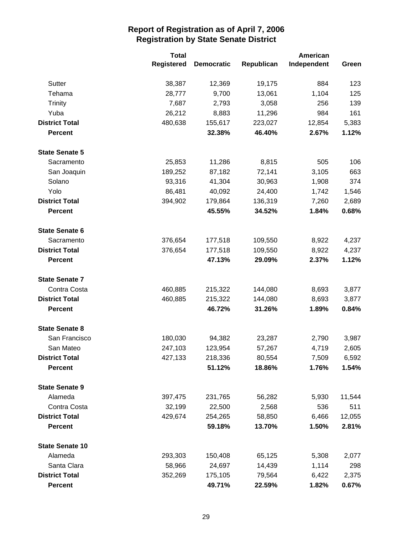|                        | <b>Total</b>      |                   | American   |             |        |
|------------------------|-------------------|-------------------|------------|-------------|--------|
|                        | <b>Registered</b> | <b>Democratic</b> | Republican | Independent | Green  |
| Sutter                 | 38,387            | 12,369            | 19,175     | 884         | 123    |
| Tehama                 | 28,777            | 9,700             | 13,061     | 1,104       | 125    |
| <b>Trinity</b>         | 7,687             | 2,793             | 3,058      | 256         | 139    |
| Yuba                   | 26,212            | 8,883             | 11,296     | 984         | 161    |
| <b>District Total</b>  | 480,638           | 155,617           | 223,027    | 12,854      | 5,383  |
| <b>Percent</b>         |                   | 32.38%            | 46.40%     | 2.67%       | 1.12%  |
| <b>State Senate 5</b>  |                   |                   |            |             |        |
| Sacramento             | 25,853            | 11,286            | 8,815      | 505         | 106    |
| San Joaquin            | 189,252           | 87,182            | 72,141     | 3,105       | 663    |
| Solano                 | 93,316            | 41,304            | 30,963     | 1,908       | 374    |
| Yolo                   | 86,481            | 40,092            | 24,400     | 1,742       | 1,546  |
| <b>District Total</b>  | 394,902           | 179,864           | 136,319    | 7,260       | 2,689  |
| <b>Percent</b>         |                   | 45.55%            | 34.52%     | 1.84%       | 0.68%  |
| <b>State Senate 6</b>  |                   |                   |            |             |        |
| Sacramento             | 376,654           | 177,518           | 109,550    | 8,922       | 4,237  |
| <b>District Total</b>  | 376,654           | 177,518           | 109,550    | 8,922       | 4,237  |
| <b>Percent</b>         |                   | 47.13%            | 29.09%     | 2.37%       | 1.12%  |
| <b>State Senate 7</b>  |                   |                   |            |             |        |
| Contra Costa           | 460,885           | 215,322           | 144,080    | 8,693       | 3,877  |
| <b>District Total</b>  | 460,885           | 215,322           | 144,080    | 8,693       | 3,877  |
| <b>Percent</b>         |                   | 46.72%            | 31.26%     | 1.89%       | 0.84%  |
| <b>State Senate 8</b>  |                   |                   |            |             |        |
| San Francisco          | 180,030           | 94,382            | 23,287     | 2,790       | 3,987  |
| San Mateo              | 247,103           | 123,954           | 57,267     | 4,719       | 2,605  |
| <b>District Total</b>  | 427,133           | 218,336           | 80,554     | 7,509       | 6,592  |
| <b>Percent</b>         |                   | 51.12%            | 18.86%     | 1.76%       | 1.54%  |
| <b>State Senate 9</b>  |                   |                   |            |             |        |
| Alameda                | 397,475           | 231,765           | 56,282     | 5,930       | 11,544 |
| Contra Costa           | 32,199            | 22,500            | 2,568      | 536         | 511    |
| <b>District Total</b>  | 429,674           | 254,265           | 58,850     | 6,466       | 12,055 |
| <b>Percent</b>         |                   | 59.18%            | 13.70%     | 1.50%       | 2.81%  |
| <b>State Senate 10</b> |                   |                   |            |             |        |
| Alameda                | 293,303           | 150,408           | 65,125     | 5,308       | 2,077  |
| Santa Clara            | 58,966            | 24,697            | 14,439     | 1,114       | 298    |
| <b>District Total</b>  | 352,269           | 175,105           | 79,564     | 6,422       | 2,375  |
| <b>Percent</b>         |                   | 49.71%            | 22.59%     | 1.82%       | 0.67%  |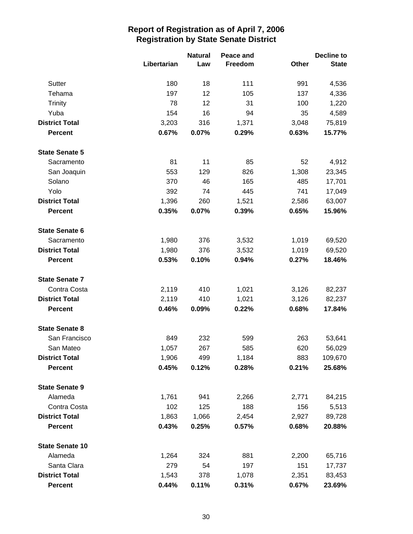|                        |             | <b>Natural</b><br>Peace and |         |       | Decline to   |  |
|------------------------|-------------|-----------------------------|---------|-------|--------------|--|
|                        | Libertarian | Law                         | Freedom | Other | <b>State</b> |  |
| Sutter                 | 180         | 18                          | 111     | 991   | 4,536        |  |
| Tehama                 | 197         | 12                          | 105     | 137   | 4,336        |  |
| <b>Trinity</b>         | 78          | 12                          | 31      | 100   | 1,220        |  |
| Yuba                   | 154         | 16                          | 94      | 35    | 4,589        |  |
| <b>District Total</b>  | 3,203       | 316                         | 1,371   | 3,048 | 75,819       |  |
| <b>Percent</b>         | 0.67%       | 0.07%                       | 0.29%   | 0.63% | 15.77%       |  |
| <b>State Senate 5</b>  |             |                             |         |       |              |  |
| Sacramento             | 81          | 11                          | 85      | 52    | 4,912        |  |
| San Joaquin            | 553         | 129                         | 826     | 1,308 | 23,345       |  |
| Solano                 | 370         | 46                          | 165     | 485   | 17,701       |  |
| Yolo                   | 392         | 74                          | 445     | 741   | 17,049       |  |
| <b>District Total</b>  | 1,396       | 260                         | 1,521   | 2,586 | 63,007       |  |
| <b>Percent</b>         | 0.35%       | 0.07%                       | 0.39%   | 0.65% | 15.96%       |  |
| <b>State Senate 6</b>  |             |                             |         |       |              |  |
| Sacramento             | 1,980       | 376                         | 3,532   | 1,019 | 69,520       |  |
| <b>District Total</b>  | 1,980       | 376                         | 3,532   | 1,019 | 69,520       |  |
| <b>Percent</b>         | 0.53%       | 0.10%                       | 0.94%   | 0.27% | 18.46%       |  |
| <b>State Senate 7</b>  |             |                             |         |       |              |  |
| Contra Costa           | 2,119       | 410                         | 1,021   | 3,126 | 82,237       |  |
| <b>District Total</b>  | 2,119       | 410                         | 1,021   | 3,126 | 82,237       |  |
| <b>Percent</b>         | 0.46%       | 0.09%                       | 0.22%   | 0.68% | 17.84%       |  |
| <b>State Senate 8</b>  |             |                             |         |       |              |  |
| San Francisco          | 849         | 232                         | 599     | 263   | 53,641       |  |
| San Mateo              | 1,057       | 267                         | 585     | 620   | 56,029       |  |
| <b>District Total</b>  | 1,906       | 499                         | 1,184   | 883   | 109,670      |  |
| <b>Percent</b>         | 0.45%       | 0.12%                       | 0.28%   | 0.21% | 25.68%       |  |
| <b>State Senate 9</b>  |             |                             |         |       |              |  |
| Alameda                | 1,761       | 941                         | 2,266   | 2,771 | 84,215       |  |
| Contra Costa           | 102         | 125                         | 188     | 156   | 5,513        |  |
| <b>District Total</b>  | 1,863       | 1,066                       | 2,454   | 2,927 | 89,728       |  |
| <b>Percent</b>         | 0.43%       | 0.25%                       | 0.57%   | 0.68% | 20.88%       |  |
| <b>State Senate 10</b> |             |                             |         |       |              |  |
| Alameda                | 1,264       | 324                         | 881     | 2,200 | 65,716       |  |
| Santa Clara            | 279         | 54                          | 197     | 151   | 17,737       |  |
| <b>District Total</b>  | 1,543       | 378                         | 1,078   | 2,351 | 83,453       |  |
| <b>Percent</b>         | 0.44%       | 0.11%                       | 0.31%   | 0.67% | 23.69%       |  |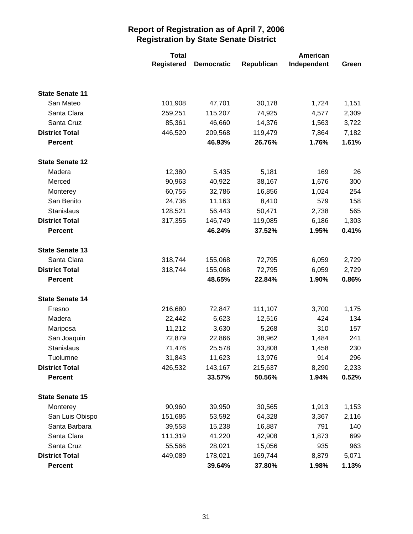|                        | <b>Total</b>      |                   | American   |             |       |
|------------------------|-------------------|-------------------|------------|-------------|-------|
|                        | <b>Registered</b> | <b>Democratic</b> | Republican | Independent | Green |
|                        |                   |                   |            |             |       |
| <b>State Senate 11</b> |                   |                   |            |             |       |
| San Mateo              | 101,908           | 47,701            | 30,178     | 1,724       | 1,151 |
| Santa Clara            | 259,251           | 115,207           | 74,925     | 4,577       | 2,309 |
| Santa Cruz             | 85,361            | 46,660            | 14,376     | 1,563       | 3,722 |
| <b>District Total</b>  | 446,520           | 209,568           | 119,479    | 7,864       | 7,182 |
| <b>Percent</b>         |                   | 46.93%            | 26.76%     | 1.76%       | 1.61% |
| <b>State Senate 12</b> |                   |                   |            |             |       |
| Madera                 | 12,380            | 5,435             | 5,181      | 169         | 26    |
| Merced                 | 90,963            | 40,922            | 38,167     | 1,676       | 300   |
| Monterey               | 60,755            | 32,786            | 16,856     | 1,024       | 254   |
| San Benito             | 24,736            | 11,163            | 8,410      | 579         | 158   |
| Stanislaus             | 128,521           | 56,443            | 50,471     | 2,738       | 565   |
| <b>District Total</b>  | 317,355           | 146,749           | 119,085    | 6,186       | 1,303 |
| <b>Percent</b>         |                   | 46.24%            | 37.52%     | 1.95%       | 0.41% |
| <b>State Senate 13</b> |                   |                   |            |             |       |
| Santa Clara            | 318,744           | 155,068           | 72,795     | 6,059       | 2,729 |
| <b>District Total</b>  | 318,744           | 155,068           | 72,795     | 6,059       | 2,729 |
| <b>Percent</b>         |                   | 48.65%            | 22.84%     | 1.90%       | 0.86% |
| <b>State Senate 14</b> |                   |                   |            |             |       |
| Fresno                 | 216,680           | 72,847            | 111,107    | 3,700       | 1,175 |
| Madera                 | 22,442            | 6,623             | 12,516     | 424         | 134   |
| Mariposa               | 11,212            | 3,630             | 5,268      | 310         | 157   |
| San Joaquin            | 72,879            | 22,866            | 38,962     | 1,484       | 241   |
| Stanislaus             | 71,476            | 25,578            | 33,808     | 1,458       | 230   |
| Tuolumne               | 31,843            | 11,623            | 13,976     | 914         | 296   |
| <b>District Total</b>  | 426,532           | 143,167           | 215,637    | 8,290       | 2,233 |
| <b>Percent</b>         |                   | 33.57%            | 50.56%     | 1.94%       | 0.52% |
| <b>State Senate 15</b> |                   |                   |            |             |       |
| Monterey               | 90,960            | 39,950            | 30,565     | 1,913       | 1,153 |
| San Luis Obispo        | 151,686           | 53,592            | 64,328     | 3,367       | 2,116 |
| Santa Barbara          | 39,558            | 15,238            | 16,887     | 791         | 140   |
| Santa Clara            | 111,319           | 41,220            | 42,908     | 1,873       | 699   |
| Santa Cruz             | 55,566            | 28,021            | 15,056     | 935         | 963   |
| <b>District Total</b>  | 449,089           | 178,021           | 169,744    | 8,879       | 5,071 |
| <b>Percent</b>         |                   | 39.64%            | 37.80%     | 1.98%       | 1.13% |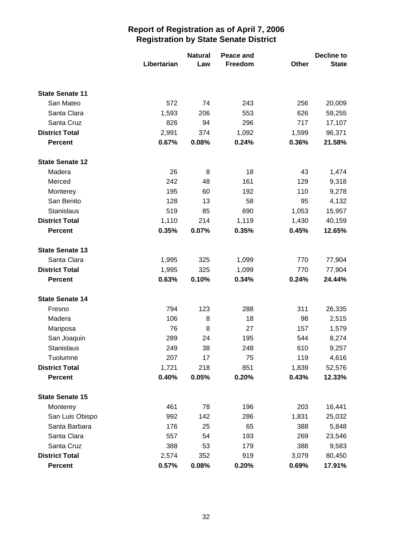|                        |             | <b>Natural</b> | Peace and |       | <b>Decline to</b> |
|------------------------|-------------|----------------|-----------|-------|-------------------|
|                        | Libertarian | Law            | Freedom   | Other | <b>State</b>      |
|                        |             |                |           |       |                   |
| <b>State Senate 11</b> |             |                |           |       |                   |
| San Mateo              | 572         | 74             | 243       | 256   | 20,009            |
| Santa Clara            | 1,593       | 206            | 553       | 626   | 59,255            |
| Santa Cruz             | 826         | 94             | 296       | 717   | 17,107            |
| <b>District Total</b>  | 2,991       | 374            | 1,092     | 1,599 | 96,371            |
| <b>Percent</b>         | 0.67%       | 0.08%          | 0.24%     | 0.36% | 21.58%            |
| <b>State Senate 12</b> |             |                |           |       |                   |
| Madera                 | 26          | 8              | 18        | 43    | 1,474             |
| Merced                 | 242         | 48             | 161       | 129   | 9,318             |
| Monterey               | 195         | 60             | 192       | 110   | 9,278             |
| San Benito             | 128         | 13             | 58        | 95    | 4,132             |
| <b>Stanislaus</b>      | 519         | 85             | 690       | 1,053 | 15,957            |
| <b>District Total</b>  | 1,110       | 214            | 1,119     | 1,430 | 40,159            |
| <b>Percent</b>         | 0.35%       | 0.07%          | 0.35%     | 0.45% | 12.65%            |
| <b>State Senate 13</b> |             |                |           |       |                   |
| Santa Clara            | 1,995       | 325            | 1,099     | 770   | 77,904            |
| <b>District Total</b>  | 1,995       | 325            | 1,099     | 770   | 77,904            |
| <b>Percent</b>         | 0.63%       | 0.10%          | 0.34%     | 0.24% | 24.44%            |
| <b>State Senate 14</b> |             |                |           |       |                   |
| Fresno                 | 794         | 123            | 288       | 311   | 26,335            |
| Madera                 | 106         | 8              | 18        | 98    | 2,515             |
| Mariposa               | 76          | 8              | 27        | 157   | 1,579             |
| San Joaquin            | 289         | 24             | 195       | 544   | 8,274             |
| Stanislaus             | 249         | 38             | 248       | 610   | 9,257             |
| Tuolumne               | 207         | 17             | 75        | 119   | 4,616             |
| <b>District Total</b>  | 1,721       | 218            | 851       | 1,839 | 52,576            |
| Percent                | 0.40%       | 0.05%          | 0.20%     | 0.43% | 12.33%            |
| <b>State Senate 15</b> |             |                |           |       |                   |
| Monterey               | 461         | 78             | 196       | 203   | 16,441            |
| San Luis Obispo        | 992         | 142            | 286       | 1,831 | 25,032            |
| Santa Barbara          | 176         | 25             | 65        | 388   | 5,848             |
| Santa Clara            | 557         | 54             | 193       | 269   | 23,546            |
| Santa Cruz             | 388         | 53             | 179       | 388   | 9,583             |
| <b>District Total</b>  | 2,574       | 352            | 919       | 3,079 | 80,450            |
| Percent                | 0.57%       | 0.08%          | 0.20%     | 0.69% | 17.91%            |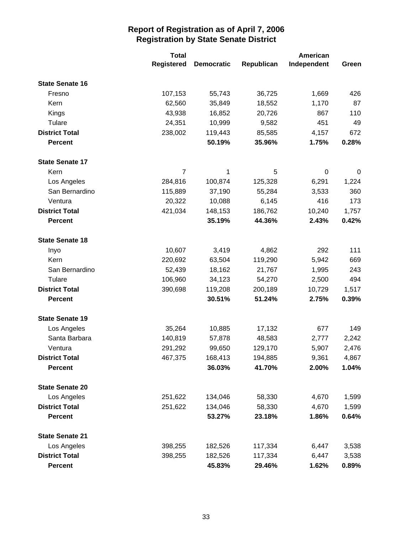|                        | <b>Total</b>      |                   | American   |             |       |
|------------------------|-------------------|-------------------|------------|-------------|-------|
|                        | <b>Registered</b> | <b>Democratic</b> | Republican | Independent | Green |
| <b>State Senate 16</b> |                   |                   |            |             |       |
| Fresno                 | 107,153           | 55,743            | 36,725     | 1,669       | 426   |
| Kern                   | 62,560            | 35,849            | 18,552     | 1,170       | 87    |
| Kings                  | 43,938            | 16,852            | 20,726     | 867         | 110   |
| Tulare                 | 24,351            | 10,999            | 9,582      | 451         | 49    |
| <b>District Total</b>  | 238,002           | 119,443           | 85,585     | 4,157       | 672   |
| <b>Percent</b>         |                   | 50.19%            | 35.96%     | 1.75%       | 0.28% |
| <b>State Senate 17</b> |                   |                   |            |             |       |
| Kern                   | $\overline{7}$    | 1                 | 5          | 0           | 0     |
| Los Angeles            | 284,816           | 100,874           | 125,328    | 6,291       | 1,224 |
| San Bernardino         | 115,889           | 37,190            | 55,284     | 3,533       | 360   |
| Ventura                | 20,322            | 10,088            | 6,145      | 416         | 173   |
| <b>District Total</b>  | 421,034           | 148,153           | 186,762    | 10,240      | 1,757 |
| <b>Percent</b>         |                   | 35.19%            | 44.36%     | 2.43%       | 0.42% |
| <b>State Senate 18</b> |                   |                   |            |             |       |
| Inyo                   | 10,607            | 3,419             | 4,862      | 292         | 111   |
| Kern                   | 220,692           | 63,504            | 119,290    | 5,942       | 669   |
| San Bernardino         | 52,439            | 18,162            | 21,767     | 1,995       | 243   |
| Tulare                 | 106,960           | 34,123            | 54,270     | 2,500       | 494   |
| <b>District Total</b>  | 390,698           | 119,208           | 200,189    | 10,729      | 1,517 |
| <b>Percent</b>         |                   | 30.51%            | 51.24%     | 2.75%       | 0.39% |
| <b>State Senate 19</b> |                   |                   |            |             |       |
| Los Angeles            | 35,264            | 10,885            | 17,132     | 677         | 149   |
| Santa Barbara          | 140,819           | 57,878            | 48,583     | 2,777       | 2,242 |
| Ventura                | 291,292           | 99,650            | 129,170    | 5,907       | 2,476 |
| <b>District Total</b>  | 467,375           | 168,413           | 194,885    | 9,361       | 4,867 |
| Percent                |                   | 36.03%            | 41.70%     | 2.00%       | 1.04% |
| <b>State Senate 20</b> |                   |                   |            |             |       |
| Los Angeles            | 251,622           | 134,046           | 58,330     | 4,670       | 1,599 |
| <b>District Total</b>  | 251,622           | 134,046           | 58,330     | 4,670       | 1,599 |
| <b>Percent</b>         |                   | 53.27%            | 23.18%     | 1.86%       | 0.64% |
| <b>State Senate 21</b> |                   |                   |            |             |       |
| Los Angeles            | 398,255           | 182,526           | 117,334    | 6,447       | 3,538 |
| <b>District Total</b>  | 398,255           | 182,526           | 117,334    | 6,447       | 3,538 |
| <b>Percent</b>         |                   | 45.83%            | 29.46%     | 1.62%       | 0.89% |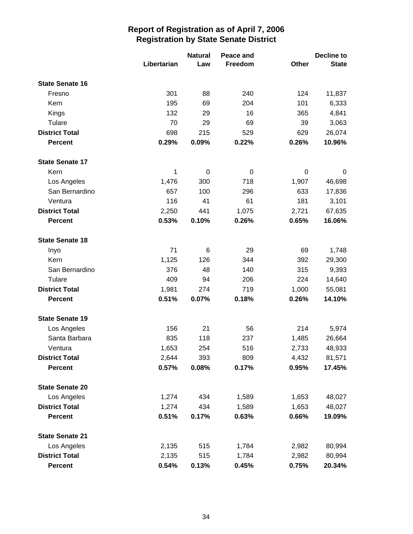|                        | Libertarian | <b>Natural</b><br>Law | Peace and<br>Freedom | Other | <b>Decline to</b><br><b>State</b> |
|------------------------|-------------|-----------------------|----------------------|-------|-----------------------------------|
| <b>State Senate 16</b> |             |                       |                      |       |                                   |
| Fresno                 | 301         | 88                    | 240                  | 124   | 11,837                            |
| Kern                   | 195         | 69                    | 204                  | 101   | 6,333                             |
| Kings                  | 132         | 29                    | 16                   | 365   | 4,841                             |
| Tulare                 | 70          | 29                    | 69                   | 39    | 3,063                             |
| <b>District Total</b>  | 698         | 215                   | 529                  | 629   | 26,074                            |
| <b>Percent</b>         | 0.29%       | 0.09%                 | 0.22%                | 0.26% | 10.96%                            |
| <b>State Senate 17</b> |             |                       |                      |       |                                   |
| Kern                   | 1           | 0                     | 0                    | 0     | 0                                 |
| Los Angeles            | 1,476       | 300                   | 718                  | 1,907 | 46,698                            |
| San Bernardino         | 657         | 100                   | 296                  | 633   | 17,836                            |
| Ventura                | 116         | 41                    | 61                   | 181   | 3,101                             |
| <b>District Total</b>  | 2,250       | 441                   | 1,075                | 2,721 | 67,635                            |
| <b>Percent</b>         | 0.53%       | 0.10%                 | 0.26%                | 0.65% | 16.06%                            |
| <b>State Senate 18</b> |             |                       |                      |       |                                   |
| Inyo                   | 71          | 6                     | 29                   | 69    | 1,748                             |
| Kern                   | 1,125       | 126                   | 344                  | 392   | 29,300                            |
| San Bernardino         | 376         | 48                    | 140                  | 315   | 9,393                             |
| Tulare                 | 409         | 94                    | 206                  | 224   | 14,640                            |
| <b>District Total</b>  | 1,981       | 274                   | 719                  | 1,000 | 55,081                            |
| <b>Percent</b>         | 0.51%       | 0.07%                 | 0.18%                | 0.26% | 14.10%                            |
| <b>State Senate 19</b> |             |                       |                      |       |                                   |
| Los Angeles            | 156         | 21                    | 56                   | 214   | 5,974                             |
| Santa Barbara          | 835         | 118                   | 237                  | 1,485 | 26,664                            |
| Ventura                | 1,653       | 254                   | 516                  | 2,733 | 48,933                            |
| <b>District Total</b>  | 2,644       | 393                   | 809                  | 4,432 | 81,571                            |
| <b>Percent</b>         | 0.57%       | 0.08%                 | 0.17%                | 0.95% | 17.45%                            |
| <b>State Senate 20</b> |             |                       |                      |       |                                   |
| Los Angeles            | 1,274       | 434                   | 1,589                | 1,653 | 48,027                            |
| <b>District Total</b>  | 1,274       | 434                   | 1,589                | 1,653 | 48,027                            |
| <b>Percent</b>         | 0.51%       | 0.17%                 | 0.63%                | 0.66% | 19.09%                            |
| <b>State Senate 21</b> |             |                       |                      |       |                                   |
| Los Angeles            | 2,135       | 515                   | 1,784                | 2,982 | 80,994                            |
| <b>District Total</b>  | 2,135       | 515                   | 1,784                | 2,982 | 80,994                            |
| <b>Percent</b>         | 0.54%       | 0.13%                 | 0.45%                | 0.75% | 20.34%                            |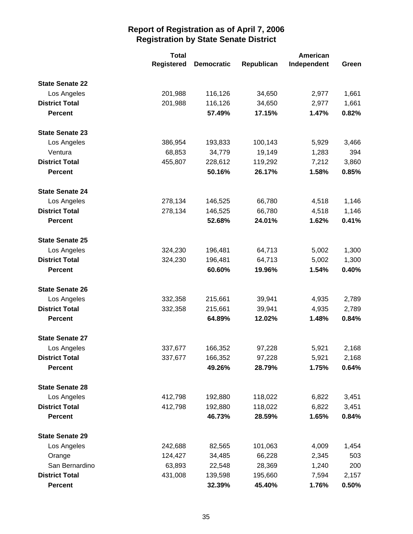|                        | <b>Total</b>      |                   |            | <b>American</b> |       |
|------------------------|-------------------|-------------------|------------|-----------------|-------|
|                        | <b>Registered</b> | <b>Democratic</b> | Republican | Independent     | Green |
| <b>State Senate 22</b> |                   |                   |            |                 |       |
| Los Angeles            | 201,988           | 116,126           | 34,650     | 2,977           | 1,661 |
| <b>District Total</b>  | 201,988           | 116,126           | 34,650     | 2,977           | 1,661 |
| <b>Percent</b>         |                   | 57.49%            | 17.15%     | 1.47%           | 0.82% |
| <b>State Senate 23</b> |                   |                   |            |                 |       |
| Los Angeles            | 386,954           | 193,833           | 100,143    | 5,929           | 3,466 |
| Ventura                | 68,853            | 34,779            | 19,149     | 1,283           | 394   |
| <b>District Total</b>  | 455,807           | 228,612           | 119,292    | 7,212           | 3,860 |
| <b>Percent</b>         |                   | 50.16%            | 26.17%     | 1.58%           | 0.85% |
| <b>State Senate 24</b> |                   |                   |            |                 |       |
| Los Angeles            | 278,134           | 146,525           | 66,780     | 4,518           | 1,146 |
| <b>District Total</b>  | 278,134           | 146,525           | 66,780     | 4,518           | 1,146 |
| <b>Percent</b>         |                   | 52.68%            | 24.01%     | 1.62%           | 0.41% |
| <b>State Senate 25</b> |                   |                   |            |                 |       |
| Los Angeles            | 324,230           | 196,481           | 64,713     | 5,002           | 1,300 |
| <b>District Total</b>  | 324,230           | 196,481           | 64,713     | 5,002           | 1,300 |
| <b>Percent</b>         |                   | 60.60%            | 19.96%     | 1.54%           | 0.40% |
| <b>State Senate 26</b> |                   |                   |            |                 |       |
| Los Angeles            | 332,358           | 215,661           | 39,941     | 4,935           | 2,789 |
| <b>District Total</b>  | 332,358           | 215,661           | 39,941     | 4,935           | 2,789 |
| <b>Percent</b>         |                   | 64.89%            | 12.02%     | 1.48%           | 0.84% |
| <b>State Senate 27</b> |                   |                   |            |                 |       |
| Los Angeles            | 337,677           | 166,352           | 97,228     | 5,921           | 2,168 |
| <b>District Total</b>  | 337,677           | 166,352           | 97,228     | 5,921           | 2,168 |
| <b>Percent</b>         |                   | 49.26%            | 28.79%     | 1.75%           | 0.64% |
| <b>State Senate 28</b> |                   |                   |            |                 |       |
| Los Angeles            | 412,798           | 192,880           | 118,022    | 6,822           | 3,451 |
| <b>District Total</b>  | 412,798           | 192,880           | 118,022    | 6,822           | 3,451 |
| <b>Percent</b>         |                   | 46.73%            | 28.59%     | 1.65%           | 0.84% |
| <b>State Senate 29</b> |                   |                   |            |                 |       |
| Los Angeles            | 242,688           | 82,565            | 101,063    | 4,009           | 1,454 |
| Orange                 | 124,427           | 34,485            | 66,228     | 2,345           | 503   |
| San Bernardino         | 63,893            | 22,548            | 28,369     | 1,240           | 200   |
| <b>District Total</b>  | 431,008           | 139,598           | 195,660    | 7,594           | 2,157 |
| <b>Percent</b>         |                   | 32.39%            | 45.40%     | 1.76%           | 0.50% |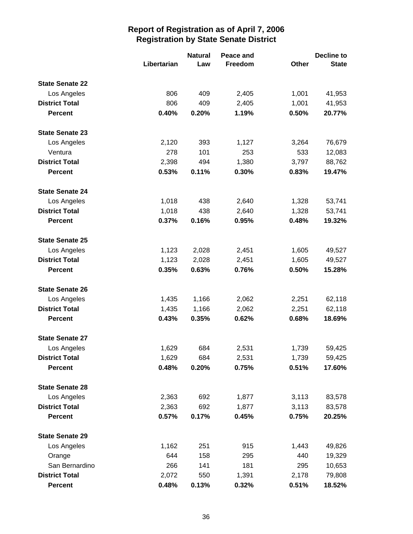|                        |             | <b>Natural</b> | Peace and |       | <b>Decline to</b> |  |
|------------------------|-------------|----------------|-----------|-------|-------------------|--|
|                        | Libertarian | Law            | Freedom   | Other | <b>State</b>      |  |
| <b>State Senate 22</b> |             |                |           |       |                   |  |
| Los Angeles            | 806         | 409            | 2,405     | 1,001 | 41,953            |  |
| <b>District Total</b>  | 806         | 409            | 2,405     | 1,001 | 41,953            |  |
| <b>Percent</b>         | 0.40%       | 0.20%          | 1.19%     | 0.50% | 20.77%            |  |
| <b>State Senate 23</b> |             |                |           |       |                   |  |
| Los Angeles            | 2,120       | 393            | 1,127     | 3,264 | 76,679            |  |
| Ventura                | 278         | 101            | 253       | 533   | 12,083            |  |
| <b>District Total</b>  | 2,398       | 494            | 1,380     | 3,797 | 88,762            |  |
| <b>Percent</b>         | 0.53%       | 0.11%          | 0.30%     | 0.83% | 19.47%            |  |
| <b>State Senate 24</b> |             |                |           |       |                   |  |
| Los Angeles            | 1,018       | 438            | 2,640     | 1,328 | 53,741            |  |
| <b>District Total</b>  | 1,018       | 438            | 2,640     | 1,328 | 53,741            |  |
| <b>Percent</b>         | 0.37%       | 0.16%          | 0.95%     | 0.48% | 19.32%            |  |
| <b>State Senate 25</b> |             |                |           |       |                   |  |
| Los Angeles            | 1,123       | 2,028          | 2,451     | 1,605 | 49,527            |  |
| <b>District Total</b>  | 1,123       | 2,028          | 2,451     | 1,605 | 49,527            |  |
| <b>Percent</b>         | 0.35%       | 0.63%          | 0.76%     | 0.50% | 15.28%            |  |
| <b>State Senate 26</b> |             |                |           |       |                   |  |
| Los Angeles            | 1,435       | 1,166          | 2,062     | 2,251 | 62,118            |  |
| <b>District Total</b>  | 1,435       | 1,166          | 2,062     | 2,251 | 62,118            |  |
| <b>Percent</b>         | 0.43%       | 0.35%          | 0.62%     | 0.68% | 18.69%            |  |
| <b>State Senate 27</b> |             |                |           |       |                   |  |
| Los Angeles            | 1,629       | 684            | 2,531     | 1,739 | 59,425            |  |
| <b>District Total</b>  | 1,629       | 684            | 2,531     | 1,739 | 59,425            |  |
| <b>Percent</b>         | 0.48%       | 0.20%          | 0.75%     | 0.51% | 17.60%            |  |
| <b>State Senate 28</b> |             |                |           |       |                   |  |
| Los Angeles            | 2,363       | 692            | 1,877     | 3,113 | 83,578            |  |
| <b>District Total</b>  | 2,363       | 692            | 1,877     | 3,113 | 83,578            |  |
| Percent                | 0.57%       | 0.17%          | 0.45%     | 0.75% | 20.25%            |  |
| <b>State Senate 29</b> |             |                |           |       |                   |  |
| Los Angeles            | 1,162       | 251            | 915       | 1,443 | 49,826            |  |
| Orange                 | 644         | 158            | 295       | 440   | 19,329            |  |
| San Bernardino         | 266         | 141            | 181       | 295   | 10,653            |  |
| <b>District Total</b>  | 2,072       | 550            | 1,391     | 2,178 | 79,808            |  |
| <b>Percent</b>         | 0.48%       | 0.13%          | 0.32%     | 0.51% | 18.52%            |  |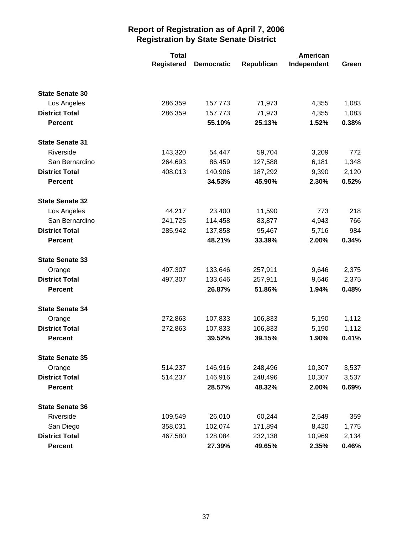|                        | <b>Total</b>      |                   | American   |             |       |
|------------------------|-------------------|-------------------|------------|-------------|-------|
|                        | <b>Registered</b> | <b>Democratic</b> | Republican | Independent | Green |
|                        |                   |                   |            |             |       |
| <b>State Senate 30</b> |                   |                   |            |             |       |
| Los Angeles            | 286,359           | 157,773           | 71,973     | 4,355       | 1,083 |
| <b>District Total</b>  | 286,359           | 157,773           | 71,973     | 4,355       | 1,083 |
| <b>Percent</b>         |                   | 55.10%            | 25.13%     | 1.52%       | 0.38% |
| <b>State Senate 31</b> |                   |                   |            |             |       |
| Riverside              | 143,320           | 54,447            | 59,704     | 3,209       | 772   |
| San Bernardino         | 264,693           | 86,459            | 127,588    | 6,181       | 1,348 |
| <b>District Total</b>  | 408,013           | 140,906           | 187,292    | 9,390       | 2,120 |
| <b>Percent</b>         |                   | 34.53%            | 45.90%     | 2.30%       | 0.52% |
| <b>State Senate 32</b> |                   |                   |            |             |       |
| Los Angeles            | 44,217            | 23,400            | 11,590     | 773         | 218   |
| San Bernardino         | 241,725           | 114,458           | 83,877     | 4,943       | 766   |
| <b>District Total</b>  | 285,942           | 137,858           | 95,467     | 5,716       | 984   |
| <b>Percent</b>         |                   | 48.21%            | 33.39%     | 2.00%       | 0.34% |
| <b>State Senate 33</b> |                   |                   |            |             |       |
| Orange                 | 497,307           | 133,646           | 257,911    | 9,646       | 2,375 |
| <b>District Total</b>  | 497,307           | 133,646           | 257,911    | 9,646       | 2,375 |
| <b>Percent</b>         |                   | 26.87%            | 51.86%     | 1.94%       | 0.48% |
| <b>State Senate 34</b> |                   |                   |            |             |       |
| Orange                 | 272,863           | 107,833           | 106,833    | 5,190       | 1,112 |
| <b>District Total</b>  | 272,863           | 107,833           | 106,833    | 5,190       | 1,112 |
| <b>Percent</b>         |                   | 39.52%            | 39.15%     | 1.90%       | 0.41% |
| <b>State Senate 35</b> |                   |                   |            |             |       |
| Orange                 | 514,237           | 146,916           | 248,496    | 10,307      | 3,537 |
| <b>District Total</b>  | 514,237           | 146,916           | 248,496    | 10,307      | 3,537 |
| <b>Percent</b>         |                   | 28.57%            | 48.32%     | 2.00%       | 0.69% |
| <b>State Senate 36</b> |                   |                   |            |             |       |
| Riverside              | 109,549           | 26,010            | 60,244     | 2,549       | 359   |
| San Diego              | 358,031           | 102,074           | 171,894    | 8,420       | 1,775 |
| <b>District Total</b>  | 467,580           | 128,084           | 232,138    | 10,969      | 2,134 |
| <b>Percent</b>         |                   | 27.39%            | 49.65%     | 2.35%       | 0.46% |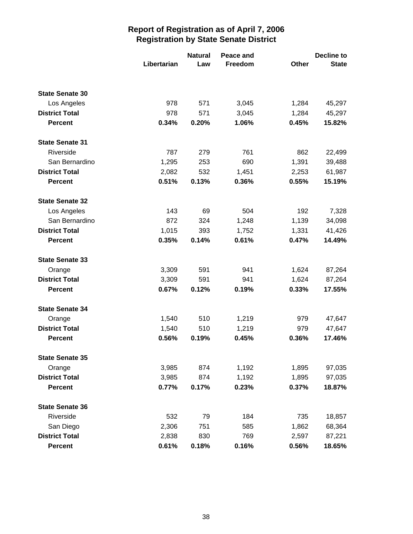|                        |             | <b>Natural</b> | Peace and | Decline to |              |
|------------------------|-------------|----------------|-----------|------------|--------------|
|                        | Libertarian | Law            | Freedom   | Other      | <b>State</b> |
|                        |             |                |           |            |              |
| <b>State Senate 30</b> |             |                |           |            |              |
| Los Angeles            | 978         | 571            | 3,045     | 1,284      | 45,297       |
| <b>District Total</b>  | 978         | 571            | 3,045     | 1,284      | 45,297       |
| <b>Percent</b>         | 0.34%       | 0.20%          | 1.06%     | 0.45%      | 15.82%       |
| <b>State Senate 31</b> |             |                |           |            |              |
| Riverside              | 787         | 279            | 761       | 862        | 22,499       |
| San Bernardino         | 1,295       | 253            | 690       | 1,391      | 39,488       |
| <b>District Total</b>  | 2,082       | 532            | 1,451     | 2,253      | 61,987       |
| <b>Percent</b>         | 0.51%       | 0.13%          | 0.36%     | 0.55%      | 15.19%       |
| <b>State Senate 32</b> |             |                |           |            |              |
| Los Angeles            | 143         | 69             | 504       | 192        | 7,328        |
| San Bernardino         | 872         | 324            | 1,248     | 1,139      | 34,098       |
| <b>District Total</b>  | 1,015       | 393            | 1,752     | 1,331      | 41,426       |
| <b>Percent</b>         | 0.35%       | 0.14%          | 0.61%     | 0.47%      | 14.49%       |
| <b>State Senate 33</b> |             |                |           |            |              |
| Orange                 | 3,309       | 591            | 941       | 1,624      | 87,264       |
| <b>District Total</b>  | 3,309       | 591            | 941       | 1,624      | 87,264       |
| <b>Percent</b>         | 0.67%       | 0.12%          | 0.19%     | 0.33%      | 17.55%       |
| <b>State Senate 34</b> |             |                |           |            |              |
| Orange                 | 1,540       | 510            | 1,219     | 979        | 47,647       |
| <b>District Total</b>  | 1,540       | 510            | 1,219     | 979        | 47,647       |
| <b>Percent</b>         | 0.56%       | 0.19%          | 0.45%     | 0.36%      | 17.46%       |
| <b>State Senate 35</b> |             |                |           |            |              |
| Orange                 | 3,985       | 874            | 1,192     | 1,895      | 97,035       |
| <b>District Total</b>  | 3,985       | 874            | 1,192     | 1,895      | 97,035       |
| <b>Percent</b>         | 0.77%       | 0.17%          | 0.23%     | 0.37%      | 18.87%       |
| <b>State Senate 36</b> |             |                |           |            |              |
| Riverside              | 532         | 79             | 184       | 735        | 18,857       |
| San Diego              | 2,306       | 751            | 585       | 1,862      | 68,364       |
| <b>District Total</b>  | 2,838       | 830            | 769       | 2,597      | 87,221       |
| <b>Percent</b>         | 0.61%       | 0.18%          | 0.16%     | 0.56%      | 18.65%       |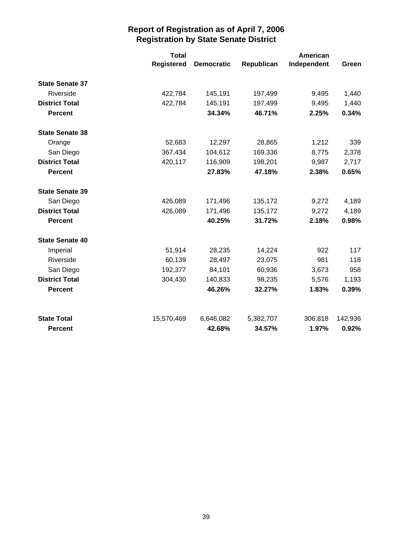|                        | <b>Total</b>      |                   |            | American    |         |
|------------------------|-------------------|-------------------|------------|-------------|---------|
|                        | <b>Registered</b> | <b>Democratic</b> | Republican | Independent | Green   |
| <b>State Senate 37</b> |                   |                   |            |             |         |
| Riverside              | 422,784           | 145,191           | 197,499    | 9,495       | 1,440   |
| <b>District Total</b>  | 422,784           | 145,191           | 197,499    | 9,495       | 1,440   |
| <b>Percent</b>         |                   | 34.34%            | 46.71%     | 2.25%       | 0.34%   |
| <b>State Senate 38</b> |                   |                   |            |             |         |
| Orange                 | 52,683            | 12,297            | 28,865     | 1,212       | 339     |
| San Diego              | 367,434           | 104,612           | 169,336    | 8,775       | 2,378   |
| <b>District Total</b>  | 420,117           | 116,909           | 198,201    | 9,987       | 2,717   |
| <b>Percent</b>         |                   | 27.83%            | 47.18%     | 2.38%       | 0.65%   |
| <b>State Senate 39</b> |                   |                   |            |             |         |
| San Diego              | 426,089           | 171,496           | 135,172    | 9,272       | 4,189   |
| <b>District Total</b>  | 426,089           | 171,496           | 135,172    | 9,272       | 4,189   |
| <b>Percent</b>         |                   | 40.25%            | 31.72%     | 2.18%       | 0.98%   |
| <b>State Senate 40</b> |                   |                   |            |             |         |
| Imperial               | 51,914            | 28,235            | 14,224     | 922         | 117     |
| Riverside              | 60,139            | 28,497            | 23,075     | 981         | 118     |
| San Diego              | 192,377           | 84,101            | 60,936     | 3,673       | 958     |
| <b>District Total</b>  | 304,430           | 140,833           | 98,235     | 5,576       | 1,193   |
| <b>Percent</b>         |                   | 46.26%            | 32.27%     | 1.83%       | 0.39%   |
| <b>State Total</b>     | 15,570,469        | 6,646,082         | 5,382,707  | 306,818     | 142,936 |
| <b>Percent</b>         |                   | 42.68%            | 34.57%     | 1.97%       | 0.92%   |